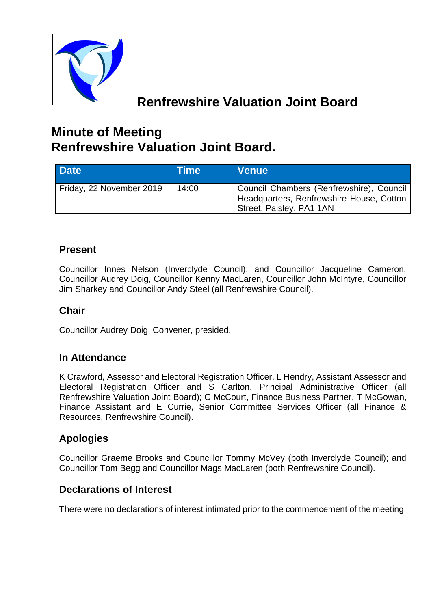

# **Renfrewshire Valuation Joint Board**

# **Minute of Meeting Renfrewshire Valuation Joint Board.**

| Date <sup>1</sup>        | <b>Time</b> | <b>Venue</b>                                                                                                     |
|--------------------------|-------------|------------------------------------------------------------------------------------------------------------------|
| Friday, 22 November 2019 | 14:00       | Council Chambers (Renfrewshire), Council<br>Headquarters, Renfrewshire House, Cotton<br>Street, Paisley, PA1 1AN |

## **Present**

Councillor Innes Nelson (Inverclyde Council); and Councillor Jacqueline Cameron, Councillor Audrey Doig, Councillor Kenny MacLaren, Councillor John McIntyre, Councillor Jim Sharkey and Councillor Andy Steel (all Renfrewshire Council).

## **Chair**

Councillor Audrey Doig, Convener, presided.

## **In Attendance**

K Crawford, Assessor and Electoral Registration Officer, L Hendry, Assistant Assessor and Electoral Registration Officer and S Carlton, Principal Administrative Officer (all Renfrewshire Valuation Joint Board); C McCourt, Finance Business Partner, T McGowan, Finance Assistant and E Currie, Senior Committee Services Officer (all Finance & Resources, Renfrewshire Council).

## **Apologies**

Councillor Graeme Brooks and Councillor Tommy McVey (both Inverclyde Council); and Councillor Tom Begg and Councillor Mags MacLaren (both Renfrewshire Council).

## **Declarations of Interest**

There were no declarations of interest intimated prior to the commencement of the meeting.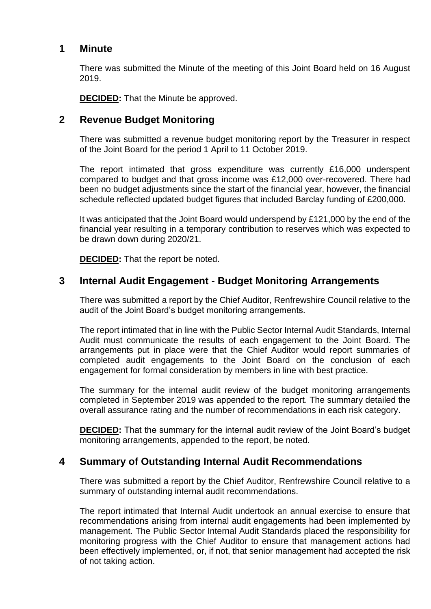#### **1 Minute**

There was submitted the Minute of the meeting of this Joint Board held on 16 August 2019.

**DECIDED:** That the Minute be approved.

#### **2 Revenue Budget Monitoring**

There was submitted a revenue budget monitoring report by the Treasurer in respect of the Joint Board for the period 1 April to 11 October 2019.

The report intimated that gross expenditure was currently £16,000 underspent compared to budget and that gross income was £12,000 over-recovered. There had been no budget adjustments since the start of the financial year, however, the financial schedule reflected updated budget figures that included Barclay funding of £200,000.

It was anticipated that the Joint Board would underspend by £121,000 by the end of the financial year resulting in a temporary contribution to reserves which was expected to be drawn down during 2020/21.

**DECIDED:** That the report be noted.

#### **3 Internal Audit Engagement - Budget Monitoring Arrangements**

There was submitted a report by the Chief Auditor, Renfrewshire Council relative to the audit of the Joint Board's budget monitoring arrangements.

The report intimated that in line with the Public Sector Internal Audit Standards, Internal Audit must communicate the results of each engagement to the Joint Board. The arrangements put in place were that the Chief Auditor would report summaries of completed audit engagements to the Joint Board on the conclusion of each engagement for formal consideration by members in line with best practice.

The summary for the internal audit review of the budget monitoring arrangements completed in September 2019 was appended to the report. The summary detailed the overall assurance rating and the number of recommendations in each risk category.

**DECIDED:** That the summary for the internal audit review of the Joint Board's budget monitoring arrangements, appended to the report, be noted.

#### **4 Summary of Outstanding Internal Audit Recommendations**

There was submitted a report by the Chief Auditor, Renfrewshire Council relative to a summary of outstanding internal audit recommendations.

The report intimated that Internal Audit undertook an annual exercise to ensure that recommendations arising from internal audit engagements had been implemented by management. The Public Sector Internal Audit Standards placed the responsibility for monitoring progress with the Chief Auditor to ensure that management actions had been effectively implemented, or, if not, that senior management had accepted the risk of not taking action.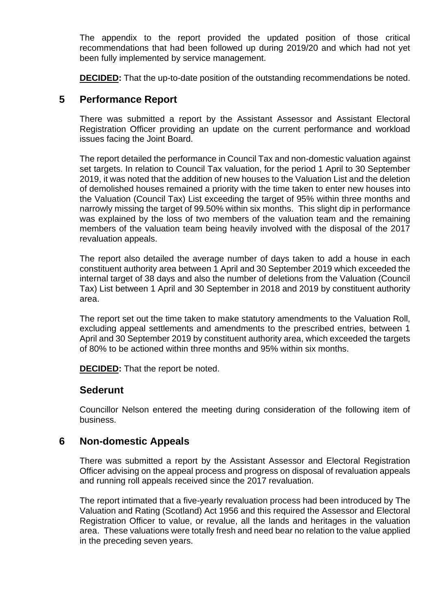The appendix to the report provided the updated position of those critical recommendations that had been followed up during 2019/20 and which had not yet been fully implemented by service management.

**DECIDED:** That the up-to-date position of the outstanding recommendations be noted.

#### **5 Performance Report**

There was submitted a report by the Assistant Assessor and Assistant Electoral Registration Officer providing an update on the current performance and workload issues facing the Joint Board.

The report detailed the performance in Council Tax and non-domestic valuation against set targets. In relation to Council Tax valuation, for the period 1 April to 30 September 2019, it was noted that the addition of new houses to the Valuation List and the deletion of demolished houses remained a priority with the time taken to enter new houses into the Valuation (Council Tax) List exceeding the target of 95% within three months and narrowly missing the target of 99.50% within six months. This slight dip in performance was explained by the loss of two members of the valuation team and the remaining members of the valuation team being heavily involved with the disposal of the 2017 revaluation appeals.

The report also detailed the average number of days taken to add a house in each constituent authority area between 1 April and 30 September 2019 which exceeded the internal target of 38 days and also the number of deletions from the Valuation (Council Tax) List between 1 April and 30 September in 2018 and 2019 by constituent authority area.

The report set out the time taken to make statutory amendments to the Valuation Roll, excluding appeal settlements and amendments to the prescribed entries, between 1 April and 30 September 2019 by constituent authority area, which exceeded the targets of 80% to be actioned within three months and 95% within six months.

**DECIDED:** That the report be noted.

#### **Sederunt**

Councillor Nelson entered the meeting during consideration of the following item of business.

#### **6 Non-domestic Appeals**

There was submitted a report by the Assistant Assessor and Electoral Registration Officer advising on the appeal process and progress on disposal of revaluation appeals and running roll appeals received since the 2017 revaluation.

The report intimated that a five-yearly revaluation process had been introduced by The Valuation and Rating (Scotland) Act 1956 and this required the Assessor and Electoral Registration Officer to value, or revalue, all the lands and heritages in the valuation area. These valuations were totally fresh and need bear no relation to the value applied in the preceding seven years.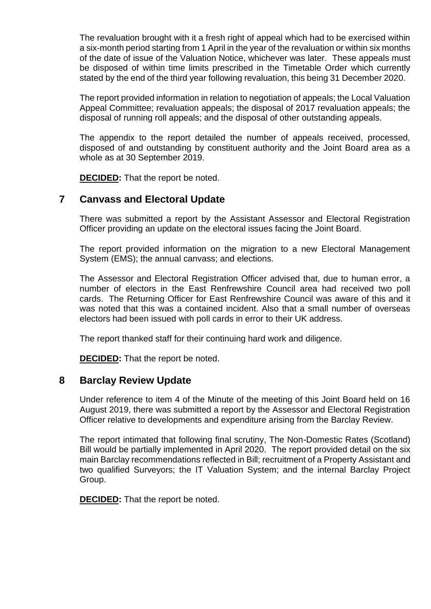The revaluation brought with it a fresh right of appeal which had to be exercised within a six-month period starting from 1 April in the year of the revaluation or within six months of the date of issue of the Valuation Notice, whichever was later. These appeals must be disposed of within time limits prescribed in the Timetable Order which currently stated by the end of the third year following revaluation, this being 31 December 2020.

The report provided information in relation to negotiation of appeals; the Local Valuation Appeal Committee; revaluation appeals; the disposal of 2017 revaluation appeals; the disposal of running roll appeals; and the disposal of other outstanding appeals.

The appendix to the report detailed the number of appeals received, processed, disposed of and outstanding by constituent authority and the Joint Board area as a whole as at 30 September 2019.

**DECIDED:** That the report be noted.

#### **7 Canvass and Electoral Update**

There was submitted a report by the Assistant Assessor and Electoral Registration Officer providing an update on the electoral issues facing the Joint Board.

The report provided information on the migration to a new Electoral Management System (EMS); the annual canvass; and elections.

The Assessor and Electoral Registration Officer advised that, due to human error, a number of electors in the East Renfrewshire Council area had received two poll cards. The Returning Officer for East Renfrewshire Council was aware of this and it was noted that this was a contained incident. Also that a small number of overseas electors had been issued with poll cards in error to their UK address.

The report thanked staff for their continuing hard work and diligence.

**DECIDED:** That the report be noted.

#### **8 Barclay Review Update**

Under reference to item 4 of the Minute of the meeting of this Joint Board held on 16 August 2019, there was submitted a report by the Assessor and Electoral Registration Officer relative to developments and expenditure arising from the Barclay Review.

The report intimated that following final scrutiny, The Non-Domestic Rates (Scotland) Bill would be partially implemented in April 2020. The report provided detail on the six main Barclay recommendations reflected in Bill; recruitment of a Property Assistant and two qualified Surveyors; the IT Valuation System; and the internal Barclay Project Group.

**DECIDED:** That the report be noted.